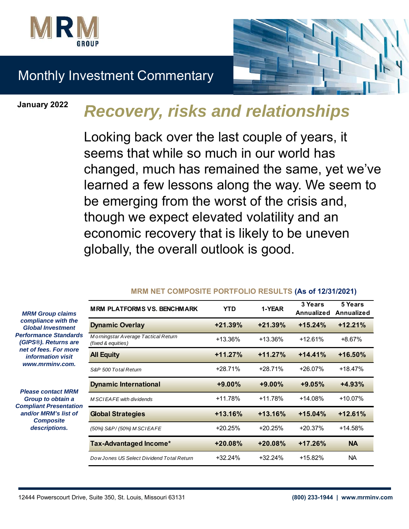

# Monthly Investment Commentary

**January 2022**

# *Recovery, risks and relationships*

Looking back over the last couple of years, it seems that while so much in our world has changed, much has remained the same, yet we've learned a few lessons along the way. We seem to be emerging from the worst of the crisis and, though we expect elevated volatility and an economic recovery that is likely to be uneven globally, the overall outlook is good.

### **MRM PLATFORMS VS. BENCHMARK YTD** 1-YEAR 3 Years **Annualized Annualized 5 Years Dynamic Overlay +21.39% +21.39% +15.24% +12.21%** *M orningstar Average Tactical Return (fixed & equities)* +13.36% +13.36% +12.61% +8.67% **All Equity +11.27% +11.27% +14.41% +16.50%** *S&P 500 Total Return* +28.71% +28.71% +26.07% +18.47% **Dynamic International +9.00% +9.00% +9.05% +4.93%** *M SCI EAFE with dividends* +11.78% +11.78% +14.08% +10.07% **Global Strategies +13.16% +13.16% +15.04% +12.61%** *(50%) S&P/ (50%) M SCI EAFE* +20.25% +20.25% +20.37% +14.58% **Tax-Advantaged Income\* +20.08% +20.08% +17.26% NA** *Dow Jones US Select Dividend Total Return* +32.24% +32.24% +15.82% NA

### **MRM NET COMPOSITE PORTFOLIO RESULTS (As of 12/31/2021)**

*MRM Group claims compliance with the Global Investment Performance Standards (GIPS®). Returns are net of fees. For more information visit www.mrminv.com.*

*Please contact MRM Group to obtain a Compliant Presentation and/or MRM's list of Composite descriptions.*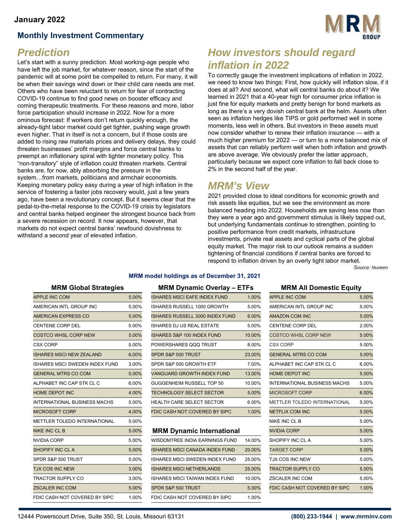### **January 2022**

### **Monthly Investment Commentary**



### *Prediction*

Let's start with a sunny prediction. Most working-age people who have left the job market, for whatever reason, since the start of the pandemic will at some point be compelled to return. For many, it will be when their savings wind down or their child care needs are met. Others who have been reluctant to return for fear of contracting COVID-19 continue to find good news on booster efficacy and coming therapeutic treatments. For these reasons and more, labor force participation should increase in 2022. Now for a more ominous forecast: If workers don't return quickly enough, the already-tight labor market could get tighter, pushing wage growth even higher. That in itself is not a concern, but if those costs are added to rising raw materials prices and delivery delays, they could threaten businesses' profit margins and force central banks to preempt an inflationary spiral with tighter monetary policy. This "non-transitory" style of inflation could threaten markets. Central banks are, for now, ably absorbing the pressure in the system…from markets, politicians and armchair economists. Keeping monetary policy easy during a year of high inflation in the service of fostering a faster jobs recovery would, just a few years ago, have been a revolutionary concept. But it seems clear that the pedal-to-the-metal response to the COVID-19 crisis by legislators and central banks helped engineer the strongest bounce back from a severe recession on record. It now appears, however, that markets do not expect central banks' newfound dovishness to withstand a second year of elevated inflation.

## *How investors should regard inflation in 2022*

To correctly gauge the investment implications of inflation in 2022, we need to know two things: First, how quickly will inflation slow, if it does at all? And second, what will central banks do about it? We learned in 2021 that a 40-year high for consumer price inflation is just fine for equity markets and pretty benign for bond markets as long as there's a very dovish central bank at the helm. Assets often seen as inflation hedges like TIPS or gold performed well in some moments, less well in others. But investors in these assets must now consider whether to renew their inflation insurance — with a much higher premium for 2022 — or turn to a more balanced mix of assets that can reliably perform well when both inflation and growth are above average. We obviously prefer the latter approach, particularly because we expect core inflation to fall back close to 2% in the second half of the year.

## *MRM's View*

2021 provided close to ideal conditions for economic growth and risk assets like equities, but we see the environment as more balanced heading into 2022. Households are saving less now than they were a year ago and government stimulus is likely tapped out, but underlying fundamentals continue to strengthen, pointing to positive performance from credit markets, infrastructure investments, private real assets and cyclical parts of the global equity market. The major risk to our outlook remains a sudden tightening of financial conditions if central banks are forced to respond to inflation driven by an overly tight labor market.

*Source: Nuveen*

### **MRM model holdings as of December 31, 2021**

| ັ                              |       |                                        |        |                              |       |
|--------------------------------|-------|----------------------------------------|--------|------------------------------|-------|
| APPLE INC COM                  | 5.00% | <b>ISHARES MSCI EAFE INDEX FUND</b>    | 1.00%  | <b>APPLE INC COM</b>         | 5.00% |
| AMERICAN INTL GROUP INC        | 5.00% | ISHARES RUSSELL 1000 GROWTH            | 5.00%  | AMERICAN INTL GROUP INC      | 5.00% |
| AMERICAN EXPRESS CO            | 5.00% | <b>ISHARES RUSSELL 3000 INDEX FUND</b> | 6.00%  | <b>AMAZON COM INC</b>        | 5.00% |
| CENTENE CORP DEL               | 5.00% | <b>ISHARES DJ US REAL ESTATE</b>       | 5.00%  | <b>CENTENE CORP DEL</b>      | 2.00% |
| COSTCO WHSL CORP NEW           | 5.00% | <b>ISHARES S&amp;P 100 INDEX FUND</b>  | 10.00% | <b>COSTCO WHSL CORP NEW</b>  | 5.00% |
| CSX CORP                       | 5.00% | POWERSHARES QQQ TRUST                  | 8.00%  | <b>CSX CORP</b>              | 5.00% |
| ISHARES MSCI NEW ZEALAND       | 6.00% | SPDR S&P 500 TRUST                     | 23.00% | <b>GENERAL MTRS CO COM</b>   | 5.00% |
| ISHARES MSCI SWEDEN INDEX FUND | 3.00% | SPDR S&P 500 GROWTH ETF                | 7.00%  | ALPHABET INC CAP STK CL C    | 6.00% |
| GENERAL MTRS CO COM            | 5.00% | VANGUARD GROWTH INDEX FUND             | 13.00% | <b>HOME DEPOT INC</b>        | 5.00% |
| ALPHABET INC CAP STK CL C      | 6.00% | GUGGENHEIM RUSSELL TOP 50              | 10.00% | INTERNATIONAL BUSINESS MACHS | 5.00% |
| HOME DEPOT INC                 | 4.00% | <b>TECHNOLOGY SELECT SECTOR</b>        | 5.00%  | <b>MICROSOFT CORP</b>        | 6.00% |
| INTERNATIONAL BUSINESS MACHS   | 5.00% | <b>HEALTH CARE SELECT SECTOR</b>       | 6.00%  | METTLER TOLEDO INTERNATIONAL | 5.00% |
| MICROSOFT CORP                 | 4.00% | FDIC CASH NOT COVERED BY SIPC          | 1.00%  | <b>NETFLIX COM INC</b>       | 5.00% |

#### **MRM Dynamic International**

| NVIDIA CORP                   | 5.00% | WISDOMTREE INDIA EARNINGS FUND        | 14.00% | SHOPIFY INC CL A              | 5.00% |
|-------------------------------|-------|---------------------------------------|--------|-------------------------------|-------|
| SHOPIFY INC CL A              | 5.00% | <b>ISHARES MSCI CANADA INDEX FUND</b> | 20.00% | <b>TARGET CORP</b>            | 5.00% |
| SPDR S&P 500 TRUST            | 5.00% | ISHARES MSCI SWEDEN INDEX FUND        | 25.00% | <b>TJX COS INC NEW</b>        | 5.00% |
| TJX COS INC NEW               | 3.00% | <b>ISHARES MSCI NETHERLANDS</b>       | 25.00% | <b>TRACTOR SUPPLY CO</b>      | 5.00% |
| TRACTOR SUPPLY CO             | 3.00% | ISHARES MSCI TAIWAN INDEX FUND        | 10.00% | ZSCALER INC COM               | 5.00% |
| ZSCALER INC COM               | 5.00% | SPDR S&P 500 TRUST                    | 5.00%  | FDIC CASH NOT COVERED BY SIPC | 1.00% |
| FDIC CASH NOT COVERED BY SIPC | 1.00% | FDIC CASH NOT COVERED BY SIPC         | 1.00%  |                               |       |
|                               |       |                                       |        |                               |       |

#### **MRM Global Strategies MRM Dynamic Overlay – ETFs MRM All Domestic Equity**

| <b>APPLE INC COM</b>                | 5.00%  | <b>ISHARES MSCI EAFE INDEX FUND</b>    | 1.00%  | <b>APPLE INC COM</b>                | 5.00% |
|-------------------------------------|--------|----------------------------------------|--------|-------------------------------------|-------|
| AMERICAN INTL GROUP INC             | 5.00%  | ISHARES RUSSELL 1000 GROWTH            | 5.00%  | AMERICAN INTL GROUP INC             | 5.00% |
| AMERICAN EXPRESS CO                 | 5.00%  | <b>ISHARES RUSSELL 3000 INDEX FUND</b> | 6.00%  | <b>AMAZON COM INC</b>               | 5.00% |
| <b>CENTENE CORP DEL</b>             | 5.00%  | <b>ISHARES DJ US REAL ESTATE</b>       | 5.00%  | <b>CENTENE CORP DEL</b>             | 2.00% |
| <b>COSTCO WHSL CORP NEW</b>         | 5.00%  | <b>ISHARES S&amp;P 100 INDEX FUND</b>  | 10.00% | <b>COSTCO WHSL CORP NEW</b>         | 5.00% |
| CSX CORP                            | 5.00%  | POWERSHARES QQQ TRUST                  | 8.00%  | <b>CSX CORP</b>                     | 5.00% |
| <b>ISHARES MSCI NEW ZEALAND</b>     | 6.00%  | SPDR S&P 500 TRUST                     | 23.00% | <b>GENERAL MTRS CO COM</b>          | 5.00% |
| ISHARES MSCI SWEDEN INDEX FUND      | 3.00%  | SPDR S&P 500 GROWTH ETF                | 7.00%  | ALPHABET INC CAP STK CL C           | 6.00% |
| <b>GENERAL MTRS CO COM</b>          | 5.00%  | <b>VANGUARD GROWTH INDEX FUND</b>      | 13.00% | <b>HOME DEPOT INC</b>               | 5.00% |
| ALPHABET INC CAP STK CL C           | 6.00%  | GUGGENHEIM RUSSELL TOP 50              | 10.00% | INTERNATIONAL BUSINESS MACHS        | 5.00% |
| <b>HOME DEPOT INC</b>               | 4.00%  | <b>TECHNOLOGY SELECT SECTOR</b>        | 5.00%  | <b>MICROSOFT CORP</b>               | 6.00% |
| <b>INTERNATIONAL BUSINESS MACHS</b> | 5.00%  | HEALTH CARE SELECT SECTOR              | 6.00%  | <b>METTLER TOLEDO INTERNATIONAL</b> | 5.00% |
| <b>MICROSOFT CORP</b>               | 4.00%  | FDIC CASH NOT COVERED BY SIPC          | 1.00%  | <b>NETFLIX COM INC</b>              | 5.00% |
| <b>METTLER TOLEDO INTERNATIONAL</b> | 5.00%  |                                        |        | NIKE INC CL B                       | 5.00% |
| NIKE INC CL B                       | 5.00%  | <b>MRM Dynamic International</b>       |        | <b>NVIDIA CORP</b>                  | 5.00% |
| NVIDIA CORP                         | 5.00%  | WISDOMTREE INDIA EARNINGS FUND         | 14.00% | SHOPIFY INC CLA                     | 5.00% |
| SHOPIFY INC CL A                    | 5.00%  | <b>ISHARES MSCI CANADA INDEX FUND</b>  | 20.00% | <b>TARGET CORP</b>                  | 5.00% |
| SPDR S&P 500 TRUST                  | 5.00%  | ISHARES MSCI SWEDEN INDEX FUND         | 25.00% | TJX COS INC NEW                     | 5.00% |
| TJX COS INC NEW                     | 3.00%  | <b>ISHARES MSCI NETHERLANDS</b>        | 25.00% | <b>TRACTOR SUPPLY CO</b>            | 5.00% |
| <b>TRACTOR SUPPLY CO</b>            | 3.00%  | <b>ISHARES MSCI TAIWAN INDEX FUND</b>  | 10.00% | <b>ZSCALER INC COM</b>              | 5.00% |
| <b>ZSCALER INC COM</b>              | 5.00%  | SPDR S&P 500 TRUST                     | 5.00%  | FDIC CASH NOT COVERED BY SIPC       | 1.00% |
| EDIC CASU NOT COVERED BY SIDC       | 1.0001 | EDIC CASU NOT COVERED BY SIDC          | 1.0001 |                                     |       |

| <b>APPLE INC COM</b>                | 5.00% |
|-------------------------------------|-------|
| AMERICAN INTL GROUP INC             | 5.00% |
| AMERICAN EXPRESS CO                 | 5.00% |
| CENTENE CORP DEL                    | 5.00% |
| <b>COSTCO WHSL CORP NEW</b>         | 5.00% |
| <b>CSX CORP</b>                     | 5.00% |
| <b>ISHARES MSCI NEW ZEALAND</b>     | 6.00% |
| ISHARES MSCI SWEDEN INDEX FUND      | 3.00% |
| <b>GENERAL MTRS CO COM</b>          | 5.00% |
| ALPHABET INC CAP STK CL C           | 6.00% |
| <b>HOME DEPOT INC</b>               | 4.00% |
| <b>INTERNATIONAL BUSINESS MACHS</b> | 5.00% |
| <b>MICROSOFT CORP</b>               | 4.00% |
| METTLER TOLEDO INTERNATIONAL        | 5.00% |
| <b>NIKE INC CL B</b>                | 5.00% |
| <b>NVIDIA CORP</b>                  | 5.00% |
| SHOPIFY INC CL A                    | 5.00% |
| SPDR S&P 500 TRUST                  | 5.00% |
| <b>TJX COS INC NEW</b>              | 3.00% |
| <b>TRACTOR SUPPLY CO</b>            | 3.00% |
| <b>ZSCALER INC COM</b>              | 5.00% |
| FDIC CASH NOT COVERED BY SIPC       | 1.00% |